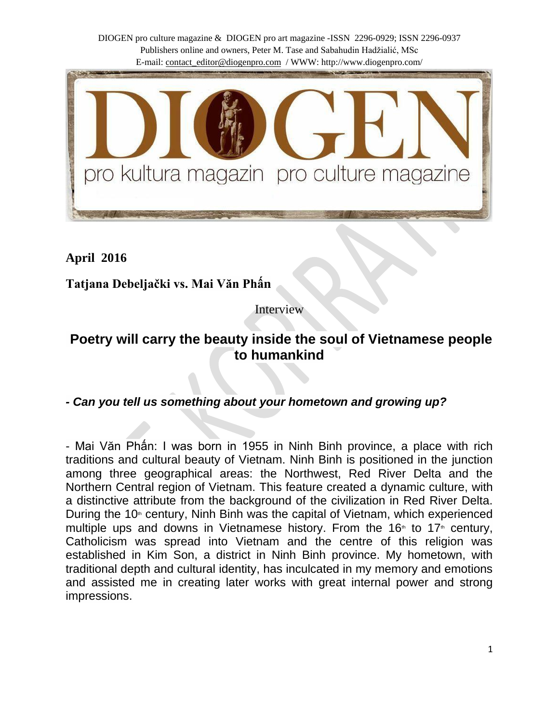DIOGEN pro culture magazine & DIOGEN pro art magazine -ISSN 2296-0929; ISSN 2296-0937 Publishers online and owners, Peter M. Tase and Sabahudin Hadžialić, MSc E-mail: contact\_editor@diogenpro.com / WWW: http://www.diogenpro.com/



**April 2016**

**Tatjana Debeljački vs. Mai Văn Phấn**

Interview

# **Poetry will carry the beauty inside the soul of Vietnamese people to humankind**

# *- Can you tell us something about your hometown and growing up?*

- Mai Văn Phấn: I was born in 1955 in Ninh Binh province, a place with rich traditions and cultural beauty of Vietnam. Ninh Binh is positioned in the junction among three geographical areas: the Northwest, Red River Delta and the Northern Central region of Vietnam. This feature created a dynamic culture, with a distinctive attribute from the background of the civilization in Red River Delta. During the  $10<sup>th</sup>$  century, Ninh Binh was the capital of Vietnam, which experienced multiple ups and downs in Vietnamese history. From the 16<sup>th</sup> to 17<sup>th</sup> century, Catholicism was spread into Vietnam and the centre of this religion was established in Kim Son, a district in Ninh Binh province. My hometown, with traditional depth and cultural identity, has inculcated in my memory and emotions and assisted me in creating later works with great internal power and strong impressions.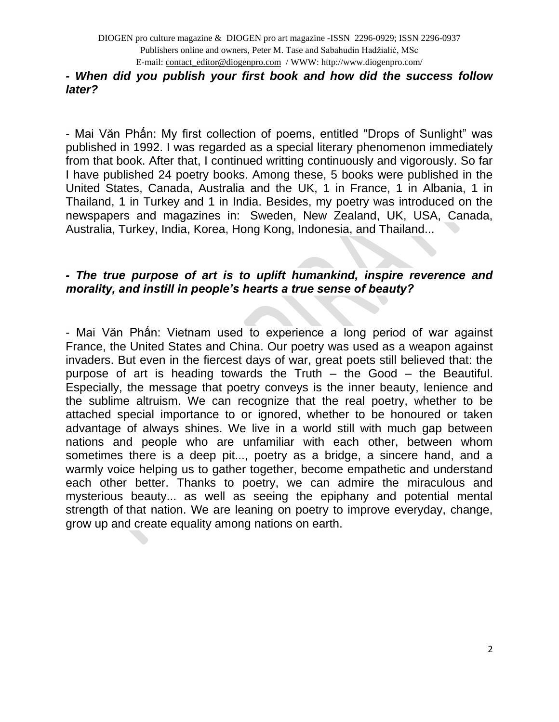#### *- When did you publish your first book and how did the success follow later?*

- Mai Văn Phấn: My first collection of poems, entitled "Drops of Sunlight" was published in 1992. I was regarded as a special literary phenomenon immediately from that book. After that, I continued writting continuously and vigorously. So far I have published 24 poetry books. Among these, 5 books were published in the United States, Canada, Australia and the UK, 1 in France, 1 in Albania, 1 in Thailand, 1 in Turkey and 1 in India. Besides, my poetry was introduced on the newspapers and magazines in: Sweden, New Zealand, UK, USA, Canada, Australia, Turkey, India, Korea, Hong Kong, Indonesia, and Thailand...

#### *- The true purpose of art is to uplift humankind, inspire reverence and morality, and instill in people's hearts a true sense of beauty?*

- Mai Văn Phấn: Vietnam used to experience a long period of war against France, the United States and China. Our poetry was used as a weapon against invaders. But even in the fiercest days of war, great poets still believed that: the purpose of art is heading towards the Truth – the Good – the Beautiful. Especially, the message that poetry conveys is the inner beauty, lenience and the sublime altruism. We can recognize that the real poetry, whether to be attached special importance to or ignored, whether to be honoured or taken advantage of always shines. We live in a world still with much gap between nations and people who are unfamiliar with each other, between whom sometimes there is a deep pit..., poetry as a bridge, a sincere hand, and a warmly voice helping us to gather together, become empathetic and understand each other better. Thanks to poetry, we can admire the miraculous and mysterious beauty... as well as seeing the epiphany and potential mental strength of that nation. We are leaning on poetry to improve everyday, change, grow up and create equality among nations on earth.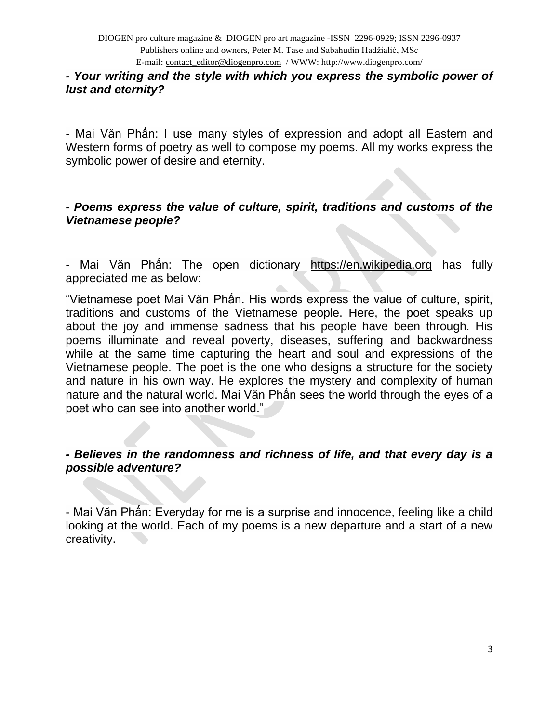#### *- Your writing and the style with which you express the symbolic power of lust and eternity?*

- Mai Văn Phấn: I use many styles of expression and adopt all Eastern and Western forms of poetry as well to compose my poems. All my works express the symbolic power of desire and eternity.

#### *- Poems express the value of culture, spirit, traditions and customs of the Vietnamese people?*

- Mai Văn Phấn: The open dictionary [https://en.wikipedia.org](https://en.wikipedia.org/) has fully appreciated me as below:

"Vietnamese poet Mai Văn Phấn. His words express the value of culture, spirit, traditions and customs of the Vietnamese people. Here, the poet speaks up about the joy and immense sadness that his people have been through. His poems illuminate and reveal poverty, diseases, suffering and backwardness while at the same time capturing the heart and soul and expressions of the Vietnamese people. The poet is the one who designs a structure for the society and nature in his own way. He explores the mystery and complexity of human nature and the natural world. Mai Văn Phấn sees the world through the eyes of a poet who can see into another world."

## *- Believes in the randomness and richness of life, and that every day is a possible adventure?*

- Mai Văn Phấn: Everyday for me is a surprise and innocence, feeling like a child looking at the world. Each of my poems is a new departure and a start of a new creativity.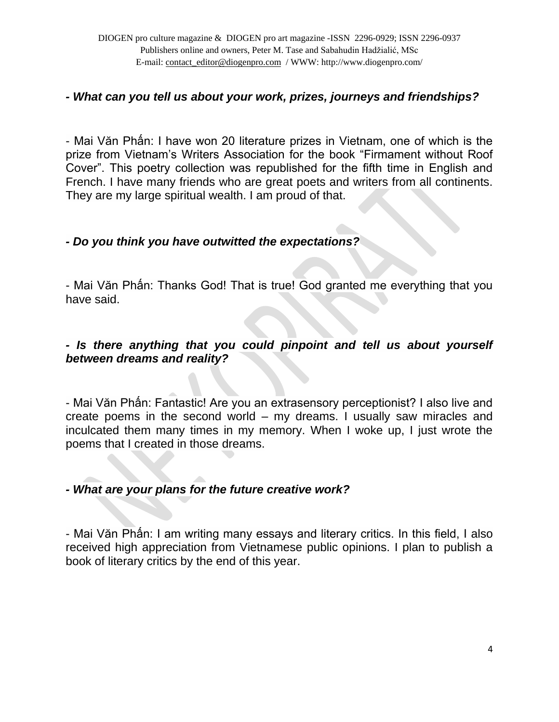#### *- What can you tell us about your work, prizes, journeys and friendships?*

- Mai Văn Phấn: I have won 20 literature prizes in Vietnam, one of which is the prize from Vietnam's Writers Association for the book "Firmament without Roof Cover". This poetry collection was republished for the fifth time in English and French. I have many friends who are great poets and writers from all continents. They are my large spiritual wealth. I am proud of that.

## *- Do you think you have outwitted the expectations?*

- Mai Văn Phấn: Thanks God! That is true! God granted me everything that you have said.

# *- Is there anything that you could pinpoint and tell us about yourself between dreams and reality?*

- Mai Văn Phấn: Fantastic! Are you an extrasensory perceptionist? I also live and create poems in the second world – my dreams. I usually saw miracles and inculcated them many times in my memory. When I woke up, I just wrote the poems that I created in those dreams.

#### *- What are your plans for the future creative work?*

- Mai Văn Phấn: I am writing many essays and literary critics. In this field, I also received high appreciation from Vietnamese public opinions. I plan to publish a book of literary critics by the end of this year.